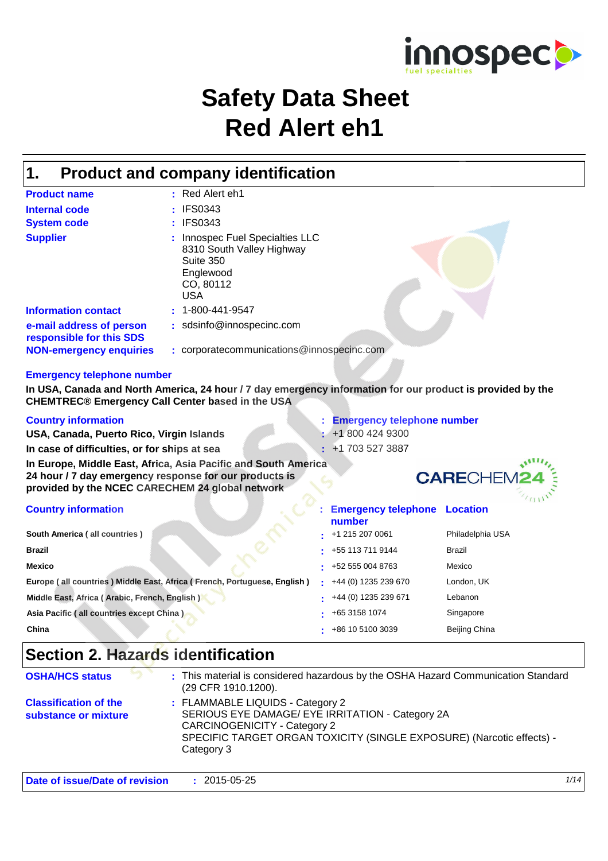

# **Safety Data Sheet Red Alert eh1**

#### **Product and company identification 1.**

| <b>Product name</b>                                  | Red Alert eh1<br>٠.                                                                                                   |
|------------------------------------------------------|-----------------------------------------------------------------------------------------------------------------------|
| Internal code                                        | : IFS0343                                                                                                             |
| <b>System code</b>                                   | : IFS0343                                                                                                             |
| <b>Supplier</b>                                      | Innospec Fuel Specialties LLC<br>÷.<br>8310 South Valley Highway<br>Suite 350<br>Englewood<br>CO, 80112<br><b>USA</b> |
| <b>Information contact</b>                           | $: 1 - 800 - 441 - 9547$                                                                                              |
| e-mail address of person<br>responsible for this SDS | : sdsinfo@innospecinc.com                                                                                             |
| <b>NON-emergency enquiries</b>                       | : corporatecommunications@innospecinc.com                                                                             |

#### **Emergency telephone number**

**In USA, Canada and North America, 24 hour / 7 day emergency information for our product is provided by the CHEMTREC® Emergency Call Center based in the USA**

| <b>Country information</b>                                                                                |    | <b>Emergency telephone number</b>             |                   |
|-----------------------------------------------------------------------------------------------------------|----|-----------------------------------------------|-------------------|
| USA, Canada, Puerto Rico, Virgin Islands                                                                  |    | $\div$ +1 800 424 9300                        |                   |
| In case of difficulties, or for ships at sea                                                              | ÷  | +1 703 527 3887                               |                   |
| In Europe, Middle East, Africa, Asia Pacific and South America                                            |    |                                               |                   |
| 24 hour / 7 day emergency response for our products is<br>provided by the NCEC CARECHEM 24 global network |    |                                               | <b>CARECHEM24</b> |
| <b>Country information</b>                                                                                |    | <b>Emergency telephone Location</b><br>number |                   |
| South America (all countries)                                                                             |    | +1 215 207 0061                               | Philadelphia USA  |
| <b>Brazil</b>                                                                                             | ٠  | +55 113 711 9144                              | Brazil            |
| <b>Mexico</b>                                                                                             | ۰. | +52 555 004 8763                              | Mexico            |
| Europe (all countries) Middle East, Africa (French, Portuguese, English)                                  |    | +44 (0) 1235 239 670                          | London, UK        |
| Middle East, Africa (Arabic, French, English)                                                             |    | +44 (0) 1235 239 671                          | Lebanon           |
| Asia Pacific (all countries except China)                                                                 |    | +65 3158 1074                                 | Singapore         |

**China :** +86 10 5100 3039

# **Section 2. Hazards identification**

| (29 CFR 1910.1200).                                                |                                                                                                                                                                                               |
|--------------------------------------------------------------------|-----------------------------------------------------------------------------------------------------------------------------------------------------------------------------------------------|
| <b>Classification of the</b><br>substance or mixture<br>Category 3 | : FLAMMABLE LIQUIDS - Category 2<br>SERIOUS EYE DAMAGE/ EYE IRRITATION - Category 2A<br>CARCINOGENICITY - Category 2<br>SPECIFIC TARGET ORGAN TOXICITY (SINGLE EXPOSURE) (Narcotic effects) - |

Beijing China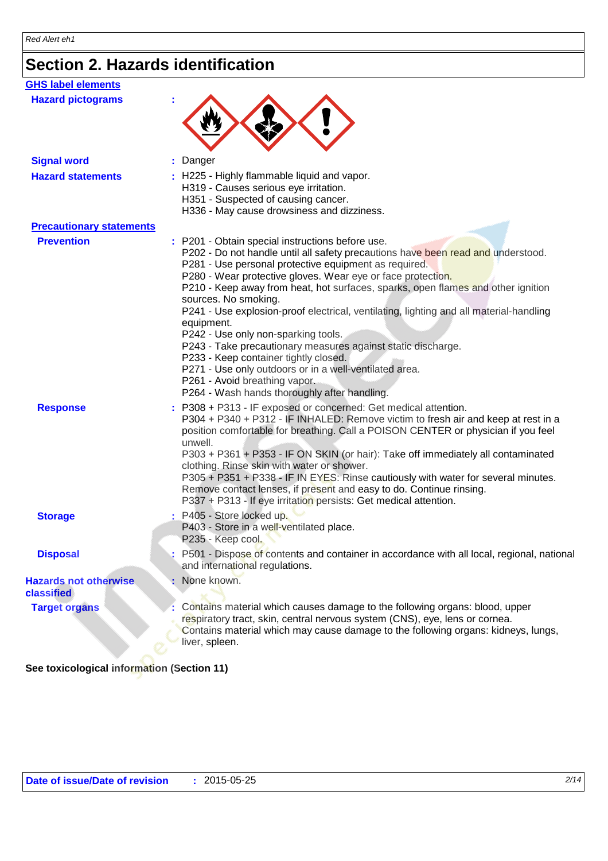# **Section 2. Hazards identification**

| <b>GHS label elements</b>                         |                                                                                                                                                                                                                                                                                                                                                                                                                                                                                                                                                                                                                                                                                                                                                                             |
|---------------------------------------------------|-----------------------------------------------------------------------------------------------------------------------------------------------------------------------------------------------------------------------------------------------------------------------------------------------------------------------------------------------------------------------------------------------------------------------------------------------------------------------------------------------------------------------------------------------------------------------------------------------------------------------------------------------------------------------------------------------------------------------------------------------------------------------------|
| <b>Hazard pictograms</b>                          |                                                                                                                                                                                                                                                                                                                                                                                                                                                                                                                                                                                                                                                                                                                                                                             |
| <b>Signal word</b>                                | Danger                                                                                                                                                                                                                                                                                                                                                                                                                                                                                                                                                                                                                                                                                                                                                                      |
| <b>Hazard statements</b>                          | : H225 - Highly flammable liquid and vapor.<br>H319 - Causes serious eye irritation.<br>H351 - Suspected of causing cancer.<br>H336 - May cause drowsiness and dizziness.                                                                                                                                                                                                                                                                                                                                                                                                                                                                                                                                                                                                   |
| <b>Precautionary statements</b>                   |                                                                                                                                                                                                                                                                                                                                                                                                                                                                                                                                                                                                                                                                                                                                                                             |
| <b>Prevention</b>                                 | : P201 - Obtain special instructions before use.<br>P202 - Do not handle until all safety precautions have been read and understood.<br>P281 - Use personal protective equipment as required.<br>P280 - Wear protective gloves. Wear eye or face protection.<br>P210 - Keep away from heat, hot surfaces, sparks, open flames and other ignition<br>sources. No smoking.<br>P241 - Use explosion-proof electrical, ventilating, lighting and all material-handling<br>equipment.<br>P242 - Use only non-sparking tools.<br>P243 - Take precautionary measures against static discharge.<br>P233 - Keep container tightly closed.<br>P271 - Use only outdoors or in a well-ventilated area.<br>P261 - Avoid breathing vapor.<br>P264 - Wash hands thoroughly after handling. |
| <b>Response</b>                                   | : P308 + P313 - IF exposed or concerned: Get medical attention.<br>P304 + P340 + P312 - IF INHALED: Remove victim to fresh air and keep at rest in a<br>position comfortable for breathing. Call a POISON CENTER or physician if you feel<br>unwell.<br>P303 + P361 + P353 - IF ON SKIN (or hair): Take off immediately all contaminated<br>clothing. Rinse skin with water or shower.<br>P305 + P351 + P338 - IF IN EYES: Rinse cautiously with water for several minutes.<br>Remove contact lenses, if present and easy to do. Continue rinsing.<br>P337 + P313 - If eye irritation persists: Get medical attention.                                                                                                                                                      |
| <b>Storage</b>                                    | : P405 - Store locked up.<br>P403 - Store in a well-ventilated place.<br>P235 - Keep cool.                                                                                                                                                                                                                                                                                                                                                                                                                                                                                                                                                                                                                                                                                  |
| <b>Disposal</b>                                   | P501 - Dispose of contents and container in accordance with all local, regional, national<br>and international regulations.                                                                                                                                                                                                                                                                                                                                                                                                                                                                                                                                                                                                                                                 |
| <b>Hazards not otherwise</b><br><b>classified</b> | None known.                                                                                                                                                                                                                                                                                                                                                                                                                                                                                                                                                                                                                                                                                                                                                                 |
| <b>Target organs</b>                              | Contains material which causes damage to the following organs: blood, upper<br>respiratory tract, skin, central nervous system (CNS), eye, lens or cornea.<br>Contains material which may cause damage to the following organs: kidneys, lungs,<br>liver, spleen.                                                                                                                                                                                                                                                                                                                                                                                                                                                                                                           |

**See toxicological information (Section 11)**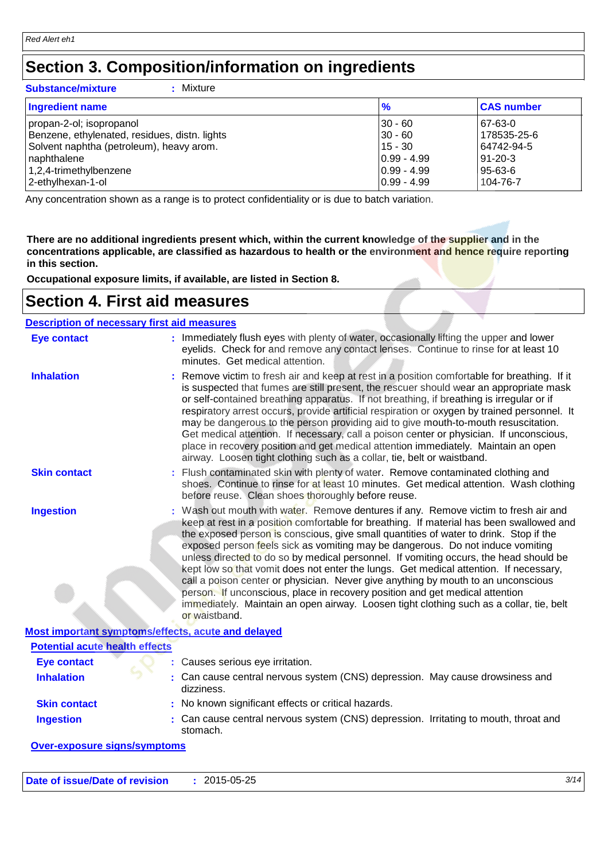### **Section 3. Composition/information on ingredients**

#### **Substance/mixture :** : Mixture

| <b>Ingredient name</b>                        | $\frac{9}{6}$ | <b>CAS number</b> |
|-----------------------------------------------|---------------|-------------------|
| propan-2-ol; isopropanol                      | $30 - 60$     | 67-63-0           |
| Benzene, ethylenated, residues, distn. lights | $30 - 60$     | 178535-25-6       |
| Solvent naphtha (petroleum), heavy arom.      | $15 - 30$     | 64742-94-5        |
| naphthalene                                   | $0.99 - 4.99$ | 91-20-3           |
| 1,2,4-trimethylbenzene                        | $0.99 - 4.99$ | 95-63-6           |
| 2-ethylhexan-1-ol                             | $0.99 - 4.99$ | 104-76-7          |

Any concentration shown as a range is to protect confidentiality or is due to batch variation.

**There are no additional ingredients present which, within the current knowledge of the supplier and in the concentrations applicable, are classified as hazardous to health or the environment and hence require reporting in this section.**

**Occupational exposure limits, if available, are listed in Section 8.**

### **Section 4. First aid measures**

| <b>Description of necessary first aid measures</b> |                                                                                                                                                                                                                                                                                                                                                                                                                                                                                                                                                                                                                                                                                                                                                                                                                               |
|----------------------------------------------------|-------------------------------------------------------------------------------------------------------------------------------------------------------------------------------------------------------------------------------------------------------------------------------------------------------------------------------------------------------------------------------------------------------------------------------------------------------------------------------------------------------------------------------------------------------------------------------------------------------------------------------------------------------------------------------------------------------------------------------------------------------------------------------------------------------------------------------|
| <b>Eye contact</b>                                 | : Immediately flush eyes with plenty of water, occasionally lifting the upper and lower<br>eyelids. Check for and remove any contact lenses. Continue to rinse for at least 10<br>minutes. Get medical attention.                                                                                                                                                                                                                                                                                                                                                                                                                                                                                                                                                                                                             |
| <b>Inhalation</b>                                  | Remove victim to fresh air and keep at rest in a position comfortable for breathing. If it<br>is suspected that fumes are still present, the rescuer should wear an appropriate mask<br>or self-contained breathing apparatus. If not breathing, if breathing is irregular or if<br>respiratory arrest occurs, provide artificial respiration or oxygen by trained personnel. It<br>may be dangerous to the person providing aid to give mouth-to-mouth resuscitation.<br>Get medical attention. If necessary, call a poison center or physician. If unconscious,<br>place in recovery position and get medical attention immediately. Maintain an open<br>airway. Loosen tight clothing such as a collar, tie, belt or waistband.                                                                                            |
| <b>Skin contact</b>                                | Flush contaminated skin with plenty of water. Remove contaminated clothing and<br>shoes. Continue to rinse for at least 10 minutes. Get medical attention. Wash clothing<br>before reuse. Clean shoes thoroughly before reuse.                                                                                                                                                                                                                                                                                                                                                                                                                                                                                                                                                                                                |
| <b>Ingestion</b>                                   | : Wash out mouth with water. Remove dentures if any. Remove victim to fresh air and<br>keep at rest in a position comfortable for breathing. If material has been swallowed and<br>the exposed person is conscious, give small quantities of water to drink. Stop if the<br>exposed person feels sick as vomiting may be dangerous. Do not induce vomiting<br>unless directed to do so by medical personnel. If vomiting occurs, the head should be<br>kept low so that vomit does not enter the lungs. Get medical attention. If necessary,<br>call a poison center or physician. Never give anything by mouth to an unconscious<br>person. If unconscious, place in recovery position and get medical attention<br>immediately. Maintain an open airway. Loosen tight clothing such as a collar, tie, belt<br>or waistband. |
| Most important symptoms/effects, acute and delayed |                                                                                                                                                                                                                                                                                                                                                                                                                                                                                                                                                                                                                                                                                                                                                                                                                               |
| <b>Potential acute health effects</b>              |                                                                                                                                                                                                                                                                                                                                                                                                                                                                                                                                                                                                                                                                                                                                                                                                                               |
| <b>Eye contact</b>                                 | Causes serious eye irritation.                                                                                                                                                                                                                                                                                                                                                                                                                                                                                                                                                                                                                                                                                                                                                                                                |
| <b>Inhalation</b>                                  | Can cause central nervous system (CNS) depression. May cause drowsiness and<br>dizziness.                                                                                                                                                                                                                                                                                                                                                                                                                                                                                                                                                                                                                                                                                                                                     |
| <b>Skin contact</b>                                | : No known significant effects or critical hazards.                                                                                                                                                                                                                                                                                                                                                                                                                                                                                                                                                                                                                                                                                                                                                                           |
| <b>Ingestion</b>                                   | : Can cause central nervous system (CNS) depression. Irritating to mouth, throat and<br>stomach.                                                                                                                                                                                                                                                                                                                                                                                                                                                                                                                                                                                                                                                                                                                              |
| فالمرجود وجزارها مربوع المراجع والمساور            |                                                                                                                                                                                                                                                                                                                                                                                                                                                                                                                                                                                                                                                                                                                                                                                                                               |

#### **Over-exposure signs/symptoms**

| Date of issue/Date of revision | 2015-05-25 | 3/14 |
|--------------------------------|------------|------|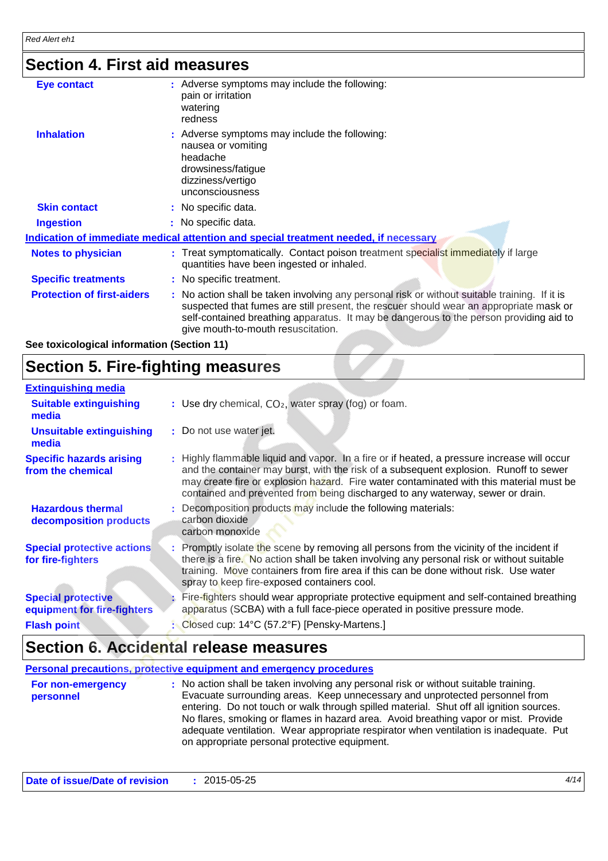## **Section 4. First aid measures**

| Eye contact                       | : Adverse symptoms may include the following:<br>pain or irritation<br>watering<br>redness                                                                                                                                                                                                                              |
|-----------------------------------|-------------------------------------------------------------------------------------------------------------------------------------------------------------------------------------------------------------------------------------------------------------------------------------------------------------------------|
| <b>Inhalation</b>                 | : Adverse symptoms may include the following:<br>nausea or vomiting<br>headache<br>drowsiness/fatigue<br>dizziness/vertigo<br>unconsciousness                                                                                                                                                                           |
| <b>Skin contact</b>               | : No specific data.                                                                                                                                                                                                                                                                                                     |
| <b>Ingestion</b>                  | : No specific data.                                                                                                                                                                                                                                                                                                     |
|                                   | Indication of immediate medical attention and special treatment needed, if necessary                                                                                                                                                                                                                                    |
| <b>Notes to physician</b>         | : Treat symptomatically. Contact poison treatment specialist immediately if large<br>quantities have been ingested or inhaled.                                                                                                                                                                                          |
| <b>Specific treatments</b>        | : No specific treatment.                                                                                                                                                                                                                                                                                                |
| <b>Protection of first-aiders</b> | : No action shall be taken involving any personal risk or without suitable training. If it is<br>suspected that fumes are still present, the rescuer should wear an appropriate mask or<br>self-contained breathing apparatus. It may be dangerous to the person providing aid to<br>give mouth-to-mouth resuscitation. |

**See toxicological information (Section 11)**

### **Section 5. Fire-fighting measures**

| <b>Extinguishing media</b>                               |                                                                                                                                                                                                                                                                                                                                                                   |  |
|----------------------------------------------------------|-------------------------------------------------------------------------------------------------------------------------------------------------------------------------------------------------------------------------------------------------------------------------------------------------------------------------------------------------------------------|--|
| <b>Suitable extinguishing</b><br>media                   | : Use dry chemical, CO <sub>2</sub> , water spray (fog) or foam.                                                                                                                                                                                                                                                                                                  |  |
| <b>Unsuitable extinguishing</b><br>media                 | : Do not use water jet.                                                                                                                                                                                                                                                                                                                                           |  |
| <b>Specific hazards arising</b><br>from the chemical     | : Highly flammable liquid and vapor. In a fire or if heated, a pressure increase will occur<br>and the container may burst, with the risk of a subsequent explosion. Runoff to sewer<br>may create fire or explosion hazard. Fire water contaminated with this material must be<br>contained and prevented from being discharged to any waterway, sewer or drain. |  |
| <b>Hazardous thermal</b><br>decomposition products       | : Decomposition products may include the following materials:<br>carbon dioxide<br>carbon monoxide                                                                                                                                                                                                                                                                |  |
| <b>Special protective actions</b><br>for fire-fighters   | : Promptly isolate the scene by removing all persons from the vicinity of the incident if<br>there is a fire. No action shall be taken involving any personal risk or without suitable<br>training. Move containers from fire area if this can be done without risk. Use water<br>spray to keep fire-exposed containers cool.                                     |  |
| <b>Special protective</b><br>equipment for fire-fighters | Fire-fighters should wear appropriate protective equipment and self-contained breathing<br>apparatus (SCBA) with a full face-piece operated in positive pressure mode.                                                                                                                                                                                            |  |
| <b>Flash point</b>                                       | : Closed cup: 14°C (57.2°F) [Pensky-Martens.]                                                                                                                                                                                                                                                                                                                     |  |

### **Section 6. Accidental release measures**

|                                | Personal precautions, protective equipment and emergency procedures                                                                                                                                                                                                                                                                                                                                                                                                                             |
|--------------------------------|-------------------------------------------------------------------------------------------------------------------------------------------------------------------------------------------------------------------------------------------------------------------------------------------------------------------------------------------------------------------------------------------------------------------------------------------------------------------------------------------------|
| For non-emergency<br>personnel | : No action shall be taken involving any personal risk or without suitable training.<br>Evacuate surrounding areas. Keep unnecessary and unprotected personnel from<br>entering. Do not touch or walk through spilled material. Shut off all ignition sources.<br>No flares, smoking or flames in hazard area. Avoid breathing vapor or mist. Provide<br>adequate ventilation. Wear appropriate respirator when ventilation is inadequate. Put<br>on appropriate personal protective equipment. |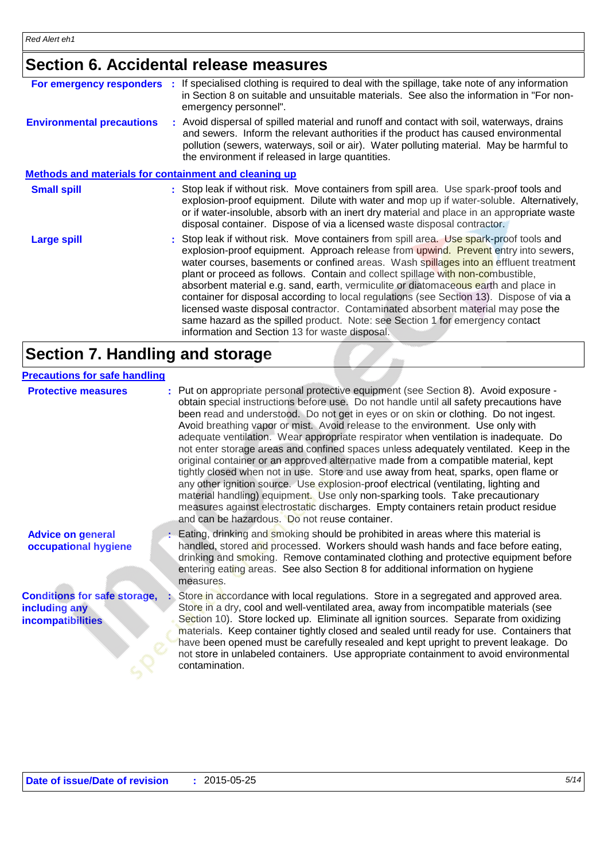## **Section 6. Accidental release measures**

| For emergency responders :                            | If specialised clothing is required to deal with the spillage, take note of any information<br>in Section 8 on suitable and unsuitable materials. See also the information in "For non-<br>emergency personnel".                                                                                                                                                                                                                                                                                                                                                                                                                                                                                                                                                     |
|-------------------------------------------------------|----------------------------------------------------------------------------------------------------------------------------------------------------------------------------------------------------------------------------------------------------------------------------------------------------------------------------------------------------------------------------------------------------------------------------------------------------------------------------------------------------------------------------------------------------------------------------------------------------------------------------------------------------------------------------------------------------------------------------------------------------------------------|
| <b>Environmental precautions</b>                      | : Avoid dispersal of spilled material and runoff and contact with soil, waterways, drains<br>and sewers. Inform the relevant authorities if the product has caused environmental<br>pollution (sewers, waterways, soil or air). Water polluting material. May be harmful to<br>the environment if released in large quantities.                                                                                                                                                                                                                                                                                                                                                                                                                                      |
| Methods and materials for containment and cleaning up |                                                                                                                                                                                                                                                                                                                                                                                                                                                                                                                                                                                                                                                                                                                                                                      |
| <b>Small spill</b>                                    | : Stop leak if without risk. Move containers from spill area. Use spark-proof tools and<br>explosion-proof equipment. Dilute with water and mop up if water-soluble. Alternatively,<br>or if water-insoluble, absorb with an inert dry material and place in an appropriate waste<br>disposal container. Dispose of via a licensed waste disposal contractor.                                                                                                                                                                                                                                                                                                                                                                                                        |
| <b>Large spill</b>                                    | : Stop leak if without risk. Move containers from spill area. Use spark-proof tools and<br>explosion-proof equipment. Approach release from upwind. Prevent entry into sewers,<br>water courses, basements or confined areas. Wash spillages into an effluent treatment<br>plant or proceed as follows. Contain and collect spillage with non-combustible,<br>absorbent material e.g. sand, earth, vermiculite or diatomaceous earth and place in<br>container for disposal according to local regulations (see Section 13). Dispose of via a<br>licensed waste disposal contractor. Contaminated absorbent material may pose the<br>same hazard as the spilled product. Note: see Section 1 for emergency contact<br>information and Section 13 for waste disposal. |

### **Section 7. Handling and storage**

#### **Precautions for safe handling**

| <b>Protective measures</b>                                                       | : Put on appropriate personal protective equipment (see Section 8). Avoid exposure -<br>obtain special instructions before use. Do not handle until all safety precautions have<br>been read and understood. Do not get in eyes or on skin or clothing. Do not ingest.<br>Avoid breathing vapor or mist. Avoid release to the environment. Use only with<br>adequate ventilation. Wear appropriate respirator when ventilation is inadequate. Do<br>not enter storage areas and confined spaces unless adequately ventilated. Keep in the<br>original container or an approved alternative made from a compatible material, kept<br>tightly closed when not in use. Store and use away from heat, sparks, open flame or<br>any other ignition source. Use explosion-proof electrical (ventilating, lighting and<br>material handling) equipment. Use only non-sparking tools. Take precautionary<br>measures against electrostatic discharges. Empty containers retain product residue<br>and can be hazardous. Do not reuse container. |
|----------------------------------------------------------------------------------|-----------------------------------------------------------------------------------------------------------------------------------------------------------------------------------------------------------------------------------------------------------------------------------------------------------------------------------------------------------------------------------------------------------------------------------------------------------------------------------------------------------------------------------------------------------------------------------------------------------------------------------------------------------------------------------------------------------------------------------------------------------------------------------------------------------------------------------------------------------------------------------------------------------------------------------------------------------------------------------------------------------------------------------------|
| <b>Advice on general</b><br>occupational hygiene                                 | : Eating, drinking and smoking should be prohibited in areas where this material is<br>handled, stored and processed. Workers should wash hands and face before eating,<br>drinking and smoking. Remove contaminated clothing and protective equipment before<br>entering eating areas. See also Section 8 for additional information on hygiene<br>measures.                                                                                                                                                                                                                                                                                                                                                                                                                                                                                                                                                                                                                                                                           |
| <b>Conditions for safe storage,</b><br>including any<br><b>incompatibilities</b> | Store in accordance with local regulations. Store in a segregated and approved area.<br>Store in a dry, cool and well-ventilated area, away from incompatible materials (see<br>Section 10). Store locked up. Eliminate all ignition sources. Separate from oxidizing<br>materials. Keep container tightly closed and sealed until ready for use. Containers that<br>have been opened must be carefully resealed and kept upright to prevent leakage. Do<br>not store in unlabeled containers. Use appropriate containment to avoid environmental<br>contamination.                                                                                                                                                                                                                                                                                                                                                                                                                                                                     |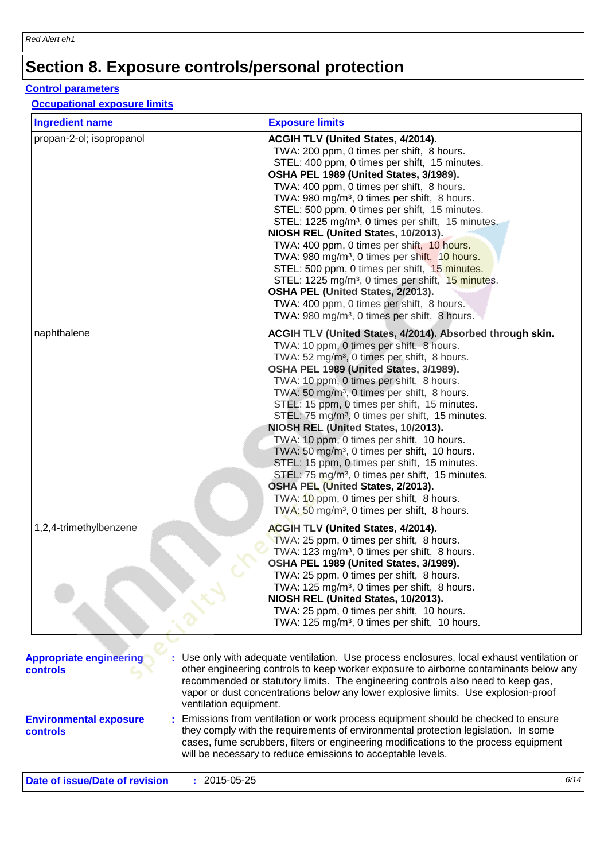# **Section 8. Exposure controls/personal protection**

#### **Control parameters**

#### **Occupational exposure limits**

| <b>Ingredient name</b>   | <b>Exposure limits</b>                                                                                                                                                                                                                                                                                                                                                                                                                                                                                                                                                                                                                                                                                                                                                                                                                             |
|--------------------------|----------------------------------------------------------------------------------------------------------------------------------------------------------------------------------------------------------------------------------------------------------------------------------------------------------------------------------------------------------------------------------------------------------------------------------------------------------------------------------------------------------------------------------------------------------------------------------------------------------------------------------------------------------------------------------------------------------------------------------------------------------------------------------------------------------------------------------------------------|
| propan-2-ol; isopropanol | <b>ACGIH TLV (United States, 4/2014).</b><br>TWA: 200 ppm, 0 times per shift, 8 hours.<br>STEL: 400 ppm, 0 times per shift, 15 minutes.<br>OSHA PEL 1989 (United States, 3/1989).<br>TWA: 400 ppm, 0 times per shift, 8 hours.<br>TWA: 980 mg/m <sup>3</sup> , 0 times per shift, 8 hours.<br>STEL: 500 ppm, 0 times per shift, 15 minutes.<br>STEL: 1225 mg/m <sup>3</sup> , 0 times per shift, 15 minutes.<br>NIOSH REL (United States, 10/2013).<br>TWA: 400 ppm, 0 times per shift, 10 hours.<br>TWA: 980 mg/m <sup>3</sup> , 0 times per shift, 10 hours.<br>STEL: 500 ppm, 0 times per shift, 15 minutes.<br>STEL: 1225 mg/m <sup>3</sup> , 0 times per shift, 15 minutes.<br>OSHA PEL (United States, 2/2013).<br>TWA: 400 ppm, 0 times per shift, 8 hours.<br>TWA: 980 mg/m <sup>3</sup> , 0 times per shift, 8 hours.                     |
| naphthalene              | <b>ACGIH TLV (United States, 4/2014). Absorbed through skin.</b><br>TWA: 10 ppm, 0 times per shift, 8 hours.<br>TWA: 52 mg/m <sup>3</sup> , 0 times per shift, 8 hours.<br>OSHA PEL 1989 (United States, 3/1989).<br>TWA: 10 ppm, 0 times per shift, 8 hours.<br>TWA: 50 mg/m <sup>3</sup> , 0 times per shift, 8 hours.<br>STEL: 15 ppm, 0 times per shift, 15 minutes.<br>STEL: 75 mg/m <sup>3</sup> , 0 times per shift, 15 minutes.<br>NIOSH REL (United States, 10/2013).<br>TWA: 10 ppm, 0 times per shift, 10 hours.<br>TWA: 50 mg/m <sup>3</sup> , 0 times per shift, 10 hours.<br>STEL: 15 ppm, 0 times per shift, 15 minutes.<br>STEL: 75 mg/m <sup>3</sup> , 0 times per shift, 15 minutes.<br>OSHA PEL (United States, 2/2013).<br>TWA: 10 ppm, 0 times per shift, 8 hours.<br>TWA: 50 mg/m <sup>3</sup> , 0 times per shift, 8 hours. |
| 1,2,4-trimethylbenzene   | <b>ACGIH TLV (United States, 4/2014).</b><br>TWA: 25 ppm, 0 times per shift, 8 hours.<br>TWA: 123 mg/m <sup>3</sup> , 0 times per shift, 8 hours.<br>OSHA PEL 1989 (United States, 3/1989).<br>TWA: 25 ppm, 0 times per shift, 8 hours.<br>TWA: 125 mg/m <sup>3</sup> , 0 times per shift, 8 hours.<br>NIOSH REL (United States, 10/2013).<br>TWA: 25 ppm, 0 times per shift, 10 hours.<br>TWA: 125 mg/m <sup>3</sup> , 0 times per shift, 10 hours.                                                                                                                                                                                                                                                                                                                                                                                               |

| <b>Appropriate engineering</b><br><b>controls</b> | : Use only with adequate ventilation. Use process enclosures, local exhaust ventilation or<br>other engineering controls to keep worker exposure to airborne contaminants below any<br>recommended or statutory limits. The engineering controls also need to keep gas,<br>vapor or dust concentrations below any lower explosive limits. Use explosion-proof<br>ventilation equipment. |
|---------------------------------------------------|-----------------------------------------------------------------------------------------------------------------------------------------------------------------------------------------------------------------------------------------------------------------------------------------------------------------------------------------------------------------------------------------|
| <b>Environmental exposure</b><br><b>controls</b>  | : Emissions from ventilation or work process equipment should be checked to ensure<br>they comply with the requirements of environmental protection legislation. In some<br>cases, fume scrubbers, filters or engineering modifications to the process equipment<br>will be necessary to reduce emissions to acceptable levels.                                                         |

**Date of issue/Date of revision :** 2015-05-25 *6/14*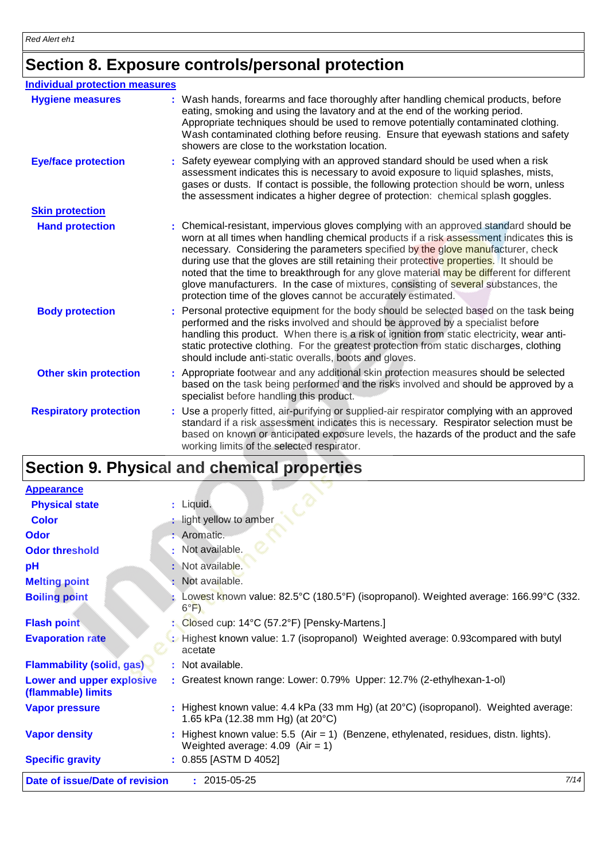# **Section 8. Exposure controls/personal protection**

| <b>Individual protection measures</b> |                                                                                                                                                                                                                                                                                                                                                                                                                                                                                                                                                                                                                        |
|---------------------------------------|------------------------------------------------------------------------------------------------------------------------------------------------------------------------------------------------------------------------------------------------------------------------------------------------------------------------------------------------------------------------------------------------------------------------------------------------------------------------------------------------------------------------------------------------------------------------------------------------------------------------|
| <b>Hygiene measures</b>               | Wash hands, forearms and face thoroughly after handling chemical products, before<br>eating, smoking and using the lavatory and at the end of the working period.<br>Appropriate techniques should be used to remove potentially contaminated clothing.<br>Wash contaminated clothing before reusing. Ensure that eyewash stations and safety<br>showers are close to the workstation location.                                                                                                                                                                                                                        |
| <b>Eye/face protection</b>            | Safety eyewear complying with an approved standard should be used when a risk<br>assessment indicates this is necessary to avoid exposure to liquid splashes, mists,<br>gases or dusts. If contact is possible, the following protection should be worn, unless<br>the assessment indicates a higher degree of protection: chemical splash goggles.                                                                                                                                                                                                                                                                    |
| <b>Skin protection</b>                |                                                                                                                                                                                                                                                                                                                                                                                                                                                                                                                                                                                                                        |
| <b>Hand protection</b>                | : Chemical-resistant, impervious gloves complying with an approved standard should be<br>worn at all times when handling chemical products if a risk assessment indicates this is<br>necessary. Considering the parameters specified by the glove manufacturer, check<br>during use that the gloves are still retaining their protective properties. It should be<br>noted that the time to breakthrough for any glove material may be different for different<br>glove manufacturers. In the case of mixtures, consisting of several substances, the<br>protection time of the gloves cannot be accurately estimated. |
| <b>Body protection</b>                | : Personal protective equipment for the body should be selected based on the task being<br>performed and the risks involved and should be approved by a specialist before<br>handling this product. When there is a risk of ignition from static electricity, wear anti-<br>static protective clothing. For the greatest protection from static discharges, clothing<br>should include anti-static overalls, boots and gloves.                                                                                                                                                                                         |
| <b>Other skin protection</b>          | : Appropriate footwear and any additional skin protection measures should be selected<br>based on the task being performed and the risks involved and should be approved by a<br>specialist before handling this product.                                                                                                                                                                                                                                                                                                                                                                                              |
| <b>Respiratory protection</b>         | : Use a properly fitted, air-purifying or supplied-air respirator complying with an approved<br>standard if a risk assessment indicates this is necessary. Respirator selection must be<br>based on known or anticipated exposure levels, the hazards of the product and the safe<br>working limits of the selected respirator.                                                                                                                                                                                                                                                                                        |
|                                       |                                                                                                                                                                                                                                                                                                                                                                                                                                                                                                                                                                                                                        |

# **Section 9. Physical and chemical properties**

| <b>Appearance</b>                               |                                                                                                                                  |      |
|-------------------------------------------------|----------------------------------------------------------------------------------------------------------------------------------|------|
| <b>Physical state</b>                           | : Liquid.                                                                                                                        |      |
| <b>Color</b>                                    | : light yellow to amber                                                                                                          |      |
| <b>Odor</b>                                     | : Aromatic.                                                                                                                      |      |
| <b>Odor threshold</b>                           | Not available.                                                                                                                   |      |
| pH                                              | : Not available.                                                                                                                 |      |
| <b>Melting point</b>                            | : Not available.                                                                                                                 |      |
| <b>Boiling point</b>                            | Lowest known value: 82.5°C (180.5°F) (isopropanol). Weighted average: 166.99°C (332.<br>$6^{\circ}F$ )                           |      |
| <b>Flash point</b>                              | : Closed cup: 14°C (57.2°F) [Pensky-Martens.]                                                                                    |      |
| <b>Evaporation rate</b>                         | : Highest known value: 1.7 (isopropanol) Weighted average: 0.93compared with butyl<br>acetate                                    |      |
| <b>Flammability (solid, gas)</b>                | : Not available.                                                                                                                 |      |
| Lower and upper explosive<br>(flammable) limits | : Greatest known range: Lower: 0.79% Upper: 12.7% (2-ethylhexan-1-ol)                                                            |      |
| <b>Vapor pressure</b>                           | Highest known value: 4.4 kPa (33 mm Hg) (at 20°C) (isopropanol). Weighted average:<br>1.65 kPa (12.38 mm Hg) (at $20^{\circ}$ C) |      |
| <b>Vapor density</b>                            | Highest known value: $5.5$ (Air = 1) (Benzene, ethylenated, residues, distn. lights).<br>Weighted average: $4.09$ (Air = 1)      |      |
| <b>Specific gravity</b>                         | $: 0.855$ [ASTM D 4052]                                                                                                          |      |
| Date of issue/Date of revision                  | $: 2015 - 05 - 25$                                                                                                               | 7/14 |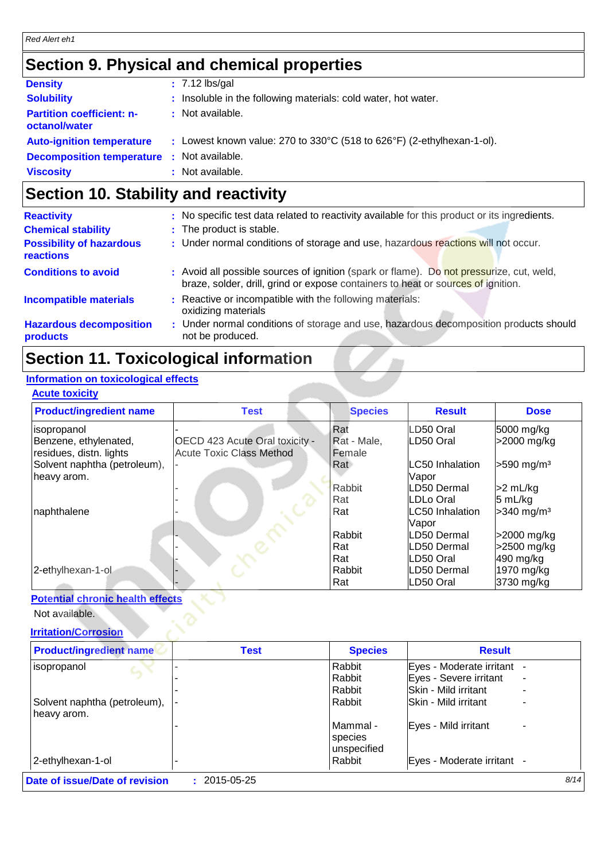### **Section 9. Physical and chemical properties**

| <b>Density</b>                                    | $: 7.12$ lbs/gal                                                       |
|---------------------------------------------------|------------------------------------------------------------------------|
| <b>Solubility</b>                                 | : Insoluble in the following materials: cold water, hot water.         |
| <b>Partition coefficient: n-</b><br>octanol/water | : Not available.                                                       |
| <b>Auto-ignition temperature</b>                  | : Lowest known value: 270 to 330°C (518 to 626°F) (2-ethylhexan-1-ol). |
| <b>Decomposition temperature : Not available.</b> |                                                                        |
| <b>Viscosity</b>                                  | : Not available.                                                       |

### **Section 10. Stability and reactivity**

| <b>Reactivity</b>                            | : No specific test data related to reactivity available for this product or its ingredients.                                                                                 |
|----------------------------------------------|------------------------------------------------------------------------------------------------------------------------------------------------------------------------------|
| <b>Chemical stability</b>                    | : The product is stable.                                                                                                                                                     |
| <b>Possibility of hazardous</b><br>reactions | : Under normal conditions of storage and use, hazardous reactions will not occur.                                                                                            |
| <b>Conditions to avoid</b>                   | : Avoid all possible sources of ignition (spark or flame). Do not pressurize, cut, weld,<br>braze, solder, drill, grind or expose containers to heat or sources of ignition. |
| <b>Incompatible materials</b>                | : Reactive or incompatible with the following materials:<br>oxidizing materials                                                                                              |
| <b>Hazardous decomposition</b><br>products   | : Under normal conditions of storage and use, hazardous decomposition products should<br>not be produced.                                                                    |
|                                              |                                                                                                                                                                              |

### **Section 11. Toxicological information**

### **Information on toxicological effects**

### **Acute toxicity**

| <b>Product/ingredient name</b> | <b>Test</b>                     | <b>Species</b> | <b>Result</b>   | <b>Dose</b>              |
|--------------------------------|---------------------------------|----------------|-----------------|--------------------------|
| isopropanol                    |                                 | Rat            | LD50 Oral       | 5000 mg/kg               |
| Benzene, ethylenated,          | OECD 423 Acute Oral toxicity -  | Rat - Male,    | LD50 Oral       | >2000 mg/kg              |
| residues, distn. lights        | <b>Acute Toxic Class Method</b> | Female         |                 |                          |
| Solvent naphtha (petroleum),   |                                 | Rat            | LC50 Inhalation | $>590$ mg/m <sup>3</sup> |
| heavy arom.                    |                                 |                | Vapor           |                          |
|                                |                                 | <b>Rabbit</b>  | LD50 Dermal     | >2 mL/kg                 |
|                                |                                 | Rat            | LDLo Oral       | 5 mL/kg                  |
| naphthalene                    |                                 | Rat            | LC50 Inhalation | $>340$ mg/m <sup>3</sup> |
|                                |                                 |                | Vapor           |                          |
|                                |                                 | Rabbit         | LD50 Dermal     | >2000 mg/kg              |
|                                |                                 | Rat            | LD50 Dermal     | >2500 mg/kg              |
|                                |                                 | Rat            | LD50 Oral       | 490 mg/kg                |
| 2-ethylhexan-1-ol              |                                 | Rabbit         | LD50 Dermal     | 1970 mg/kg               |
|                                |                                 | Rat            | LD50 Oral       | 3730 mg/kg               |

#### **Potential chronic health effects**

Not available.

### **Irritation/Corrosion**

| <b>Product/ingredient name</b> | <b>Test</b> | <b>Species</b> | <b>Result</b>                                        |      |
|--------------------------------|-------------|----------------|------------------------------------------------------|------|
| isopropanol                    |             | Rabbit         | Eyes - Moderate irritant                             |      |
|                                |             | Rabbit         | Eyes - Severe irritant<br>$\overline{\phantom{0}}$   |      |
|                                |             | Rabbit         | Skin - Mild irritant                                 |      |
| Solvent naphtha (petroleum),   |             | Rabbit         | <b>ISkin - Mild irritant</b>                         |      |
| heavy arom.                    |             |                |                                                      |      |
|                                |             | Mammal -       | Eyes - Mild irritant                                 |      |
|                                |             | species        |                                                      |      |
|                                |             | unspecified    |                                                      |      |
| 2-ethylhexan-1-ol              |             | Rabbit         | Eyes - Moderate irritant<br>$\overline{\phantom{a}}$ |      |
| Date of issue/Date of revision | 2015-05-25  |                |                                                      | 8/14 |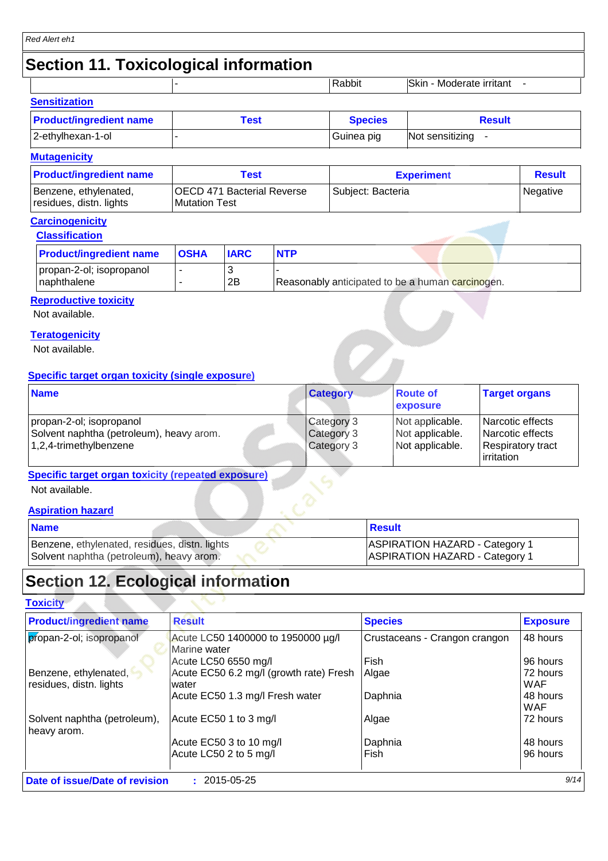## **Section 11. Toxicological information**

|                      | Rabbit | <b>Skin</b><br>Moderate irritant |
|----------------------|--------|----------------------------------|
| <b>Sensitization</b> |        |                                  |
|                      |        |                                  |

| <b>Product/ingredient name</b> | Test | <b>Species</b> | <b>Result</b>   |
|--------------------------------|------|----------------|-----------------|
| 2-ethylhexan-1-ol              |      | Guinea pig     | Not sensitizing |

#### **Mutagenicity**

| <b>Product/ingredient name</b>                   | Test                                                       | <b>Experiment</b> | <b>Result</b> |
|--------------------------------------------------|------------------------------------------------------------|-------------------|---------------|
| Benzene, ethylenated,<br>residues, distn. lights | <b>OECD 471 Bacterial Reverse</b><br><b>IMutation Test</b> | Subject: Bacteria | Negative      |

### **Carcinogenicity**

| <b>Product/ingredient name</b>           | <b>OSHA</b> | <b>IARC</b> | <b>NTP</b>                                       |
|------------------------------------------|-------------|-------------|--------------------------------------------------|
| propan-2-ol; isopropanol<br>Inaphthalene |             | 2B          | Reasonably anticipated to be a human carcinogen. |

 $\sim$ 

#### **Reproductive toxicity**

Not available.

#### **Teratogenicity**

Not available.

#### **Specific target organ toxicity (single exposure)**

| <b>Name</b>                                                                                    | <b>Category</b>                        | <b>Route of</b><br><b>exposure</b>                    | <b>Target organs</b>                                                                  |
|------------------------------------------------------------------------------------------------|----------------------------------------|-------------------------------------------------------|---------------------------------------------------------------------------------------|
| propan-2-ol; isopropanol<br>Solvent naphtha (petroleum), heavy arom.<br>1,2,4-trimethylbenzene | Category 3<br>Category 3<br>Category 3 | Not applicable.<br>Not applicable.<br>Not applicable. | <b>Narcotic effects</b><br>Narcotic effects<br><b>Respiratory tract</b><br>irritation |

#### **Specific target organ toxicity (repeated exposure)**

Not available.

#### **Aspiration hazard**

| <b>Name</b>                                                                               | <b>Result</b>                                                                  |
|-------------------------------------------------------------------------------------------|--------------------------------------------------------------------------------|
| Benzene, ethylenated, residues, distn. lights<br>Solvent naphtha (petroleum), heavy arom. | <b>ASPIRATION HAZARD - Category 1</b><br><b>ASPIRATION HAZARD - Category 1</b> |

### **Section 12. Ecological information**

#### **Toxicity**

| <b>Product/ingredient name</b>                   | <b>Result</b>                                      | <b>Species</b>                | <b>Exposure</b>        |
|--------------------------------------------------|----------------------------------------------------|-------------------------------|------------------------|
| propan-2-ol; isopropanol                         | Acute LC50 1400000 to 1950000 µg/l<br>Marine water | Crustaceans - Crangon crangon | 48 hours               |
|                                                  | Acute LC50 6550 mg/l                               | Fish                          | 96 hours               |
| Benzene, ethylenated,<br>residues, distn. lights | Acute EC50 6.2 mg/l (growth rate) Fresh<br>water   | Algae                         | 72 hours<br><b>WAF</b> |
|                                                  | Acute EC50 1.3 mg/l Fresh water                    | Daphnia                       | 48 hours<br><b>WAF</b> |
| Solvent naphtha (petroleum),<br>heavy arom.      | Acute EC50 1 to 3 mg/l                             | Algae                         | 72 hours               |
|                                                  | Acute EC50 3 to 10 mg/l                            | Daphnia                       | 48 hours               |
|                                                  | Acute LC50 2 to 5 mg/l                             | Fish                          | 96 hours               |
| Date of issue/Date of revision                   | $: 2015 - 05 - 25$                                 |                               | 9/14                   |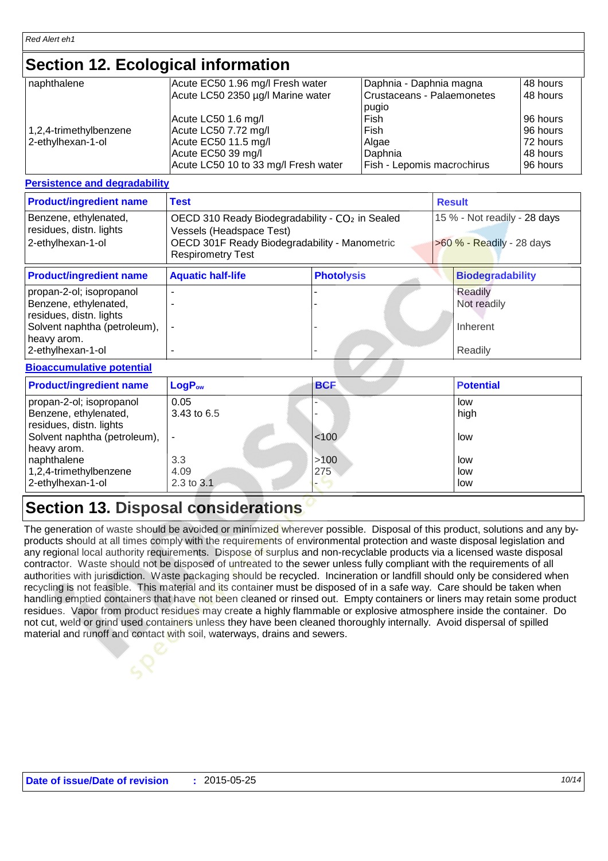### **Section 12. Ecological information**

| naphthalene               | Acute EC50 1.96 mg/l Fresh water     | Daphnia - Daphnia magna    | 48 hours |
|---------------------------|--------------------------------------|----------------------------|----------|
|                           | Acute LC50 2350 µg/l Marine water    | Crustaceans - Palaemonetes | 48 hours |
|                           |                                      | pugio                      |          |
|                           | Acute LC50 1.6 mg/l                  | Fish                       | 96 hours |
| $1,2,4$ -trimethylbenzene | Acute LC50 7.72 mg/l                 | Fish                       | 96 hours |
| 2-ethylhexan-1-ol         | Acute EC50 11.5 mg/l                 | Algae                      | 72 hours |
|                           | Acute EC50 39 mg/l                   | Daphnia                    | 48 hours |
|                           | Acute LC50 10 to 33 mg/l Fresh water | Fish - Lepomis macrochirus | 96 hours |

#### **Persistence and degradability**

| <b>Product/ingredient name</b>                                                                               | <b>Test</b>                                                                                                                                                          |                   |  | <b>Result</b>                                             |  |
|--------------------------------------------------------------------------------------------------------------|----------------------------------------------------------------------------------------------------------------------------------------------------------------------|-------------------|--|-----------------------------------------------------------|--|
| Benzene, ethylenated,<br>residues, distn. lights<br>2-ethylhexan-1-ol                                        | OECD 310 Ready Biodegradability - CO <sub>2</sub> in Sealed<br>Vessels (Headspace Test)<br>OECD 301F Ready Biodegradability - Manometric<br><b>Respirometry Test</b> |                   |  | 15 % - Not readily - 28 days<br>>60 % - Readily - 28 days |  |
| <b>Product/ingredient name</b>                                                                               | <b>Aquatic half-life</b>                                                                                                                                             | <b>Photolysis</b> |  | <b>Biodegradability</b>                                   |  |
| propan-2-ol; isopropanol<br>Benzene, ethylenated,<br>residues, distn. lights<br>Solvent naphtha (petroleum), |                                                                                                                                                                      |                   |  | Readily<br>Not readily<br>Inherent                        |  |
| heavy arom.<br>2-ethylhexan-1-ol                                                                             |                                                                                                                                                                      |                   |  | Readily                                                   |  |

#### **Bioaccumulative potential**

| <b>Product/ingredient name</b>                                               | $LogP_{ow}$               | <b>BCF</b>  | <b>Potential</b>    |
|------------------------------------------------------------------------------|---------------------------|-------------|---------------------|
| propan-2-ol; isopropanol<br>Benzene, ethylenated,<br>residues, distn. lights | 0.05<br>3.43 to 6.5       |             | low<br>high         |
| Solvent naphtha (petroleum),<br>heavy arom.                                  |                           | $ $ < 100   | low                 |
| naphthalene<br>1,2,4-trimethylbenzene<br>2-ethylhexan-1-ol                   | 3.3<br>4.09<br>2.3 to 3.1 | >100<br>275 | low<br>low<br>. Iow |

### **Section 13. Disposal considerations**

The generation of waste should be avoided or minimized wherever possible. Disposal of this product, solutions and any byproducts should at all times comply with the requirements of environmental protection and waste disposal legislation and any regional local authority requirements. Dispose of surplus and non-recyclable products via a licensed waste disposal contractor. Waste should not be disposed of untreated to the sewer unless fully compliant with the requirements of all authorities with jurisdiction. Waste packaging should be recycled. Incineration or landfill should only be considered when recycling is not feasible. This material and its container must be disposed of in a safe way. Care should be taken when handling emptied containers that have not been cleaned or rinsed out. Empty containers or liners may retain some product residues. Vapor from product residues may create a highly flammable or explosive atmosphere inside the container. Do not cut, weld or grind used containers unless they have been cleaned thoroughly internally. Avoid dispersal of spilled material and runoff and contact with soil, waterways, drains and sewers.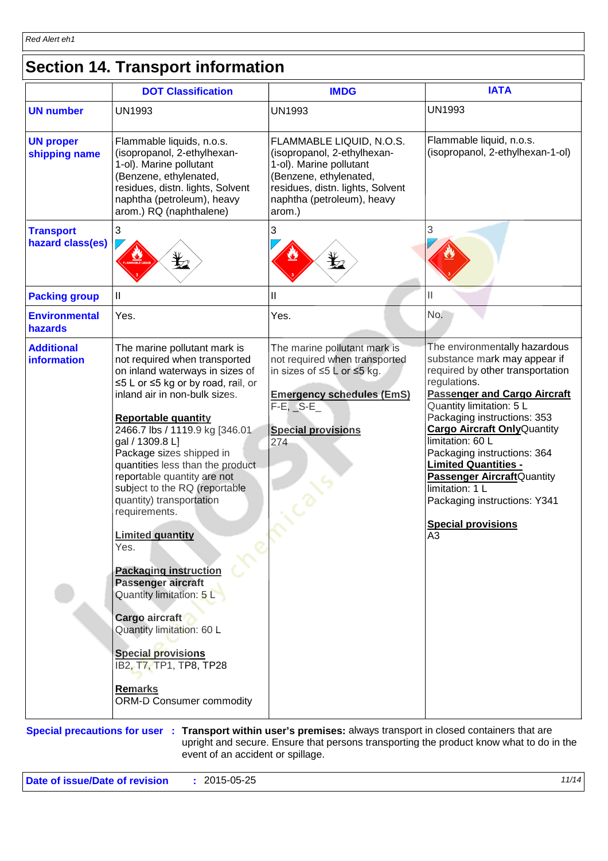# **Section 14. Transport information**

|                                         | <b>DOT Classification</b>                                                                                                                                                                                                                                                                                                                                                                                                                                                                                                                                                                                                                                                                                                | <b>IMDG</b>                                                                                                                                                                              | <b>IATA</b>                                                                                                                                                                                                                                                                                                                                                                                                                                                              |
|-----------------------------------------|--------------------------------------------------------------------------------------------------------------------------------------------------------------------------------------------------------------------------------------------------------------------------------------------------------------------------------------------------------------------------------------------------------------------------------------------------------------------------------------------------------------------------------------------------------------------------------------------------------------------------------------------------------------------------------------------------------------------------|------------------------------------------------------------------------------------------------------------------------------------------------------------------------------------------|--------------------------------------------------------------------------------------------------------------------------------------------------------------------------------------------------------------------------------------------------------------------------------------------------------------------------------------------------------------------------------------------------------------------------------------------------------------------------|
| <b>UN number</b>                        | <b>UN1993</b>                                                                                                                                                                                                                                                                                                                                                                                                                                                                                                                                                                                                                                                                                                            | <b>UN1993</b>                                                                                                                                                                            | <b>UN1993</b>                                                                                                                                                                                                                                                                                                                                                                                                                                                            |
| <b>UN proper</b><br>shipping name       | Flammable liquids, n.o.s.<br>(isopropanol, 2-ethylhexan-<br>1-ol). Marine pollutant<br>(Benzene, ethylenated,<br>residues, distn. lights, Solvent<br>naphtha (petroleum), heavy<br>arom.) RQ (naphthalene)                                                                                                                                                                                                                                                                                                                                                                                                                                                                                                               | FLAMMABLE LIQUID, N.O.S.<br>(isopropanol, 2-ethylhexan-<br>1-ol). Marine pollutant<br>(Benzene, ethylenated,<br>residues, distn. lights, Solvent<br>naphtha (petroleum), heavy<br>arom.) | Flammable liquid, n.o.s.<br>(isopropanol, 2-ethylhexan-1-ol)                                                                                                                                                                                                                                                                                                                                                                                                             |
| <b>Transport</b><br>hazard class(es)    | 3<br>q                                                                                                                                                                                                                                                                                                                                                                                                                                                                                                                                                                                                                                                                                                                   | 3<br>₩                                                                                                                                                                                   | 3                                                                                                                                                                                                                                                                                                                                                                                                                                                                        |
| <b>Packing group</b>                    | $\mathbf{  }$                                                                                                                                                                                                                                                                                                                                                                                                                                                                                                                                                                                                                                                                                                            | $\mathbf{II}$                                                                                                                                                                            | Ш                                                                                                                                                                                                                                                                                                                                                                                                                                                                        |
| <b>Environmental</b><br>hazards         | Yes.                                                                                                                                                                                                                                                                                                                                                                                                                                                                                                                                                                                                                                                                                                                     | Yes.                                                                                                                                                                                     | No.                                                                                                                                                                                                                                                                                                                                                                                                                                                                      |
| <b>Additional</b><br><b>information</b> | The marine pollutant mark is<br>not required when transported<br>on inland waterways in sizes of<br>≤5 L or ≤5 kg or by road, rail, or<br>inland air in non-bulk sizes.<br><b>Reportable quantity</b><br>2466.7 lbs / 1119.9 kg [346.01<br>gal / 1309.8 L]<br>Package sizes shipped in<br>quantities less than the product<br>reportable quantity are not<br>subject to the RQ (reportable<br>quantity) transportation<br>requirements.<br><b>Limited quantity</b><br>Yes.<br><b>Packaging instruction</b><br>Passenger aircraft<br>Quantity limitation: 5 L<br>Cargo aircraft<br>Quantity limitation: 60 L<br><b>Special provisions</b><br>IB2, T7, TP1, TP8, TP28<br><b>Remarks</b><br><b>ORM-D Consumer commodity</b> | The marine pollutant mark is<br>not required when transported<br>in sizes of ≤5 L or ≤5 kg.<br><b>Emergency schedules (EmS)</b><br>$F-E$ , $S-E$<br><b>Special provisions</b><br>274     | The environmentally hazardous<br>substance mark may appear if<br>required by other transportation<br>regulations.<br><b>Passenger and Cargo Aircraft</b><br>Quantity limitation: 5 L<br>Packaging instructions: 353<br><b>Cargo Aircraft Only Quantity</b><br>limitation: 60 L<br>Packaging instructions: 364<br><b>Limited Quantities -</b><br><b>Passenger Aircraft</b> Quantity<br>limitation: 1 L<br>Packaging instructions: Y341<br><b>Special provisions</b><br>A3 |

**Special precautions for user** : Transport within user's premises: always transport in closed containers that are upright and secure. Ensure that persons transporting the product know what to do in the event of an accident or spillage.

**Date of issue/Date of revision :** 2015-05-25 *11/14*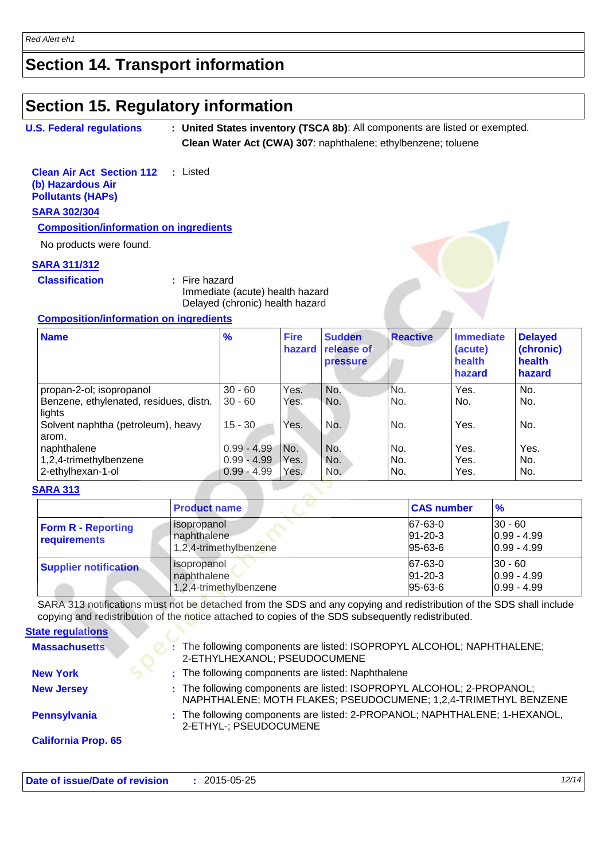### **Section 14. Transport information**

### **Section 15. Regulatory information**

```
U.S. Federal regulations
                               :
United States inventory (TSCA 8b): All components are listed or exempted.
```
**Clean Water Act (CWA) 307**: naphthalene; ethylbenzene; toluene

**Clean Air Act Section 112 (b) Hazardous Air Pollutants (HAPs) :** Listed **SARA 302/304**

**Composition/information on ingredients**

No products were found.

#### **SARA 311/312**

**Classification :** Fire hazard

Immediate (acute) health hazard Delayed (chronic) health hazard

#### **Composition/information on ingredients**

| <b>Name</b>                                      | $\frac{9}{6}$ | <b>Fire</b><br>hazard | <b>Sudden</b><br>release of<br>pressure | <b>Reactive</b> | <b>Immediate</b><br>(acute)<br>health<br>hazard | <b>Delayed</b><br>(chronic)<br>health<br>hazard |
|--------------------------------------------------|---------------|-----------------------|-----------------------------------------|-----------------|-------------------------------------------------|-------------------------------------------------|
| propan-2-ol; isopropanol                         | $30 - 60$     | Yes.                  | No.                                     | No.             | Yes.                                            | No.                                             |
| Benzene, ethylenated, residues, distn.<br>lights | $30 - 60$     | Yes.                  | No.                                     | No.             | No.                                             | No.                                             |
| Solvent naphtha (petroleum), heavy<br>arom.      | $15 - 30$     | Yes.                  | No.                                     | No.             | Yes.                                            | No.                                             |
| naphthalene                                      | $0.99 - 4.99$ | IN <sub>o</sub> .     | No.                                     | No.             | Yes.                                            | Yes.                                            |
| 1,2,4-trimethylbenzene                           | $0.99 - 4.99$ | Yes.                  | No.                                     | No.             | Yes.                                            | No.                                             |
| 2-ethylhexan-1-ol                                | $0.99 - 4.99$ | Yes.                  | No.                                     | No.             | Yes.                                            | No.                                             |

#### **SARA 313**

|                                                  | <b>Product name</b>                                           | <b>CAS number</b>                         | $\frac{9}{6}$                                 |
|--------------------------------------------------|---------------------------------------------------------------|-------------------------------------------|-----------------------------------------------|
| <b>Form R - Reporting</b><br><b>requirements</b> | <i>l</i> isopropanol<br>naphthalene<br>1,2,4-trimethylbenzene | 67-63-0<br>$91 - 20 - 3$<br>$95 - 63 - 6$ | $ 30 - 60 $<br>$0.99 - 4.99$<br>$0.99 - 4.99$ |
| <b>Supplier notification</b>                     | <i>l</i> isopropanol<br>naphthalene<br>1,2,4-trimethylbenzene | 67-63-0<br>$91 - 20 - 3$<br>$95 - 63 - 6$ | $30 - 60$<br>$0.99 - 4.99$<br>$0.99 - 4.99$   |

SARA 313 notifications must not be detached from the SDS and any copying and redistribution of the SDS shall include copying and redistribution of the notice attached to copies of the SDS subsequently redistributed.

| <b>State regulations</b>   |                                                                                                                                          |
|----------------------------|------------------------------------------------------------------------------------------------------------------------------------------|
| <b>Massachusetts</b>       | The following components are listed: ISOPROPYL ALCOHOL; NAPHTHALENE;<br>2-ETHYLHEXANOL; PSEUDOCUMENE                                     |
| <b>New York</b>            | : The following components are listed: Naphthalene                                                                                       |
| <b>New Jersey</b>          | : The following components are listed: ISOPROPYL ALCOHOL; 2-PROPANOL;<br>NAPHTHALENE; MOTH FLAKES; PSEUDOCUMENE; 1,2,4-TRIMETHYL BENZENE |
| Pennsylvania               | : The following components are listed: 2-PROPANOL; NAPHTHALENE; 1-HEXANOL,<br>2-ETHYL-; PSEUDOCUMENE                                     |
| <b>California Prop. 65</b> |                                                                                                                                          |
|                            |                                                                                                                                          |

| Date of issue/Date of revision | 2015-05-25 |  |  |
|--------------------------------|------------|--|--|
|--------------------------------|------------|--|--|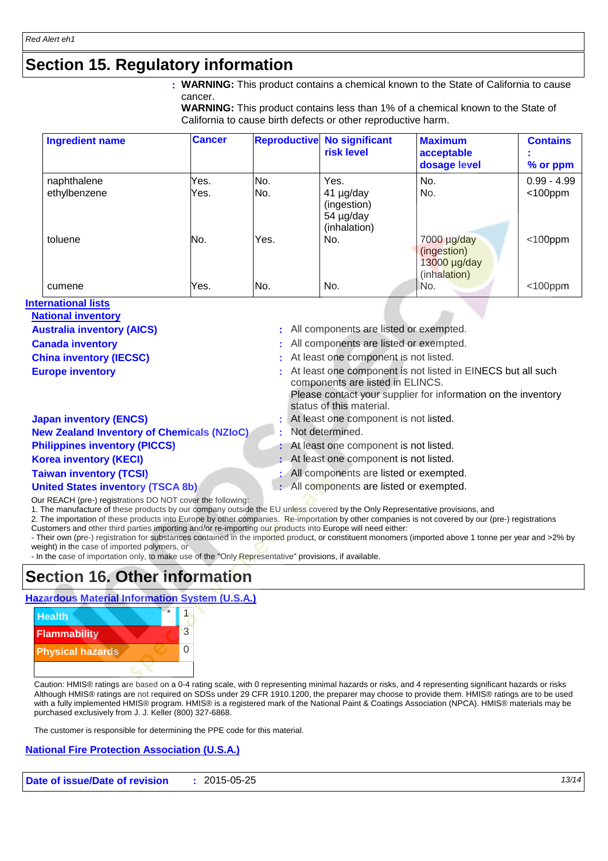### **Section 15. Regulatory information**

**WARNING:** This product contains a chemical known to the State of California to cause **:** cancer.

**WARNING:** This product contains less than 1% of a chemical known to the State of California to cause birth defects or other reproductive harm.

| <b>Ingredient name</b> | <b>Cancer</b> |      | <b>Reproductive No significant</b><br>risk level      | <b>Maximum</b><br>acceptable<br>dosage level               | <b>Contains</b><br>% or ppm |
|------------------------|---------------|------|-------------------------------------------------------|------------------------------------------------------------|-----------------------------|
| naphthalene            | Yes.          | No.  | Yes.                                                  | No.                                                        | $0.99 - 4.99$               |
| ethylbenzene           | Yes.          | No.  | 41 µg/day<br>(ingestion)<br>54 µg/day<br>(inhalation) | No.                                                        | $<$ 100ppm                  |
| toluene                | No.           | Yes. | No.                                                   | 7000 µg/day<br>(ingestion)<br>13000 µg/day<br>(inhalation) | $<$ 100ppm                  |
| cumene                 | Yes.          | No.  | No.                                                   | No.                                                        | $<$ 100ppm                  |

#### **International lists**

| <b>National inventory</b> |
|---------------------------|
|                           |

| <b>Australia inventory (AICS)</b> |  |  |
|-----------------------------------|--|--|
| Canada busantans                  |  |  |

- 
- 
- -
- **:** All components are listed or exempted.
- **Canada inventory :** All components are listed or exempted.
- **China inventory (IECSC)** : At least one component is not listed.
- **Europe inventory Europe inventory Europe inventory in the substantial such as EURECS** but all such components are listed in ELINCS.

Please contact your supplier for information on the inventory status of this material.

- **Japan inventory (ENCS)** : At least one component is not listed.
- **New Zealand Inventory of Chemicals (NZIoC) :** Not determined.
- **Philippines inventory (PICCS)** : At least one component is not listed.
- **Korea inventory (KECI)** : At least one component is not listed.
- **Taiwan inventory (TCSI)** : All components are listed or exempted.
- **United States inventory (TSCA 8b)** : All components are listed or exempted.

Our REACH (pre-) registrations DO NOT cover the following:

1. The manufacture of these products by our company outside the EU unless covered by the Only Representative provisions, and

2. The importation of these products into Europe by other companies. Re-importation by other companies is not covered by our (pre-) registrations Customers and other third parties importing and/or re-importing our products into Europe will need either:

- Their own (pre-) registration for substances contained in the imported product, or constituent monomers (imported above 1 tonne per year and >2% by weight) in the case of imported polymers, or

- In the case of importation only, to make use of the "Only Representative" provisions, if available.

### **Section 16. Other information**

#### **Hazardous Material Information System (U.S.A.)**



Caution: HMIS® ratings are based on a 0-4 rating scale, with 0 representing minimal hazards or risks, and 4 representing significant hazards or risks Although HMIS® ratings are not required on SDSs under 29 CFR 1910.1200, the preparer may choose to provide them. HMIS® ratings are to be used with a fully implemented HMIS® program. HMIS® is a registered mark of the National Paint & Coatings Association (NPCA). HMIS® materials may be purchased exclusively from J. J. Keller (800) 327-6868.

The customer is responsible for determining the PPE code for this material.

#### **National Fire Protection Association (U.S.A.)**

**Date of issue/Date of revision :** 2015-05-25 *13/14*